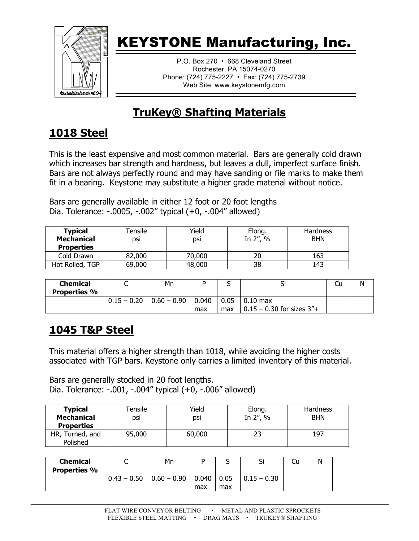

P.O. Box 270 • 668 Cleveland Street Rochester, PA 15074-0270 Phone: (724) 775-2227 • Fax: (724) 775-2739 Web Site: www.keystonemfg.com

### **TruKey® Shafting Materials**

#### **1018 Steel**

This is the least expensive and most common material. Bars are generally cold drawn which increases bar strength and hardness, but leaves a dull, imperfect surface finish. Bars are not always perfectly round and may have sanding or file marks to make them fit in a bearing. Keystone may substitute a higher grade material without notice.

Bars are generally available in either 12 foot or 20 foot lengths Dia. Tolerance: -.0005, -.002" typical (+0, -.004" allowed)

| <b>Typical</b><br><b>Mechanical</b><br><b>Properties</b> | <sup>-</sup> Tensile<br>DSİ | Yield<br>DSİ | Elong.<br>In 2", % | <b>Hardness</b><br><b>BHN</b> |
|----------------------------------------------------------|-----------------------------|--------------|--------------------|-------------------------------|
| Cold Drawn                                               | 82,000                      | 70,000       | 20                 | 163                           |
| Hot Rolled, TGP                                          | 69,000                      | 48,000       | 38                 | 143                           |

| Chemical<br><b>Properties %</b> | ◡             | Mn                |              | ້           | Ы                                             | Cυ | Ν |
|---------------------------------|---------------|-------------------|--------------|-------------|-----------------------------------------------|----|---|
|                                 | $0.15 - 0.20$ | $  0.60 - 0.90  $ | 0.040<br>max | 0.05<br>max | $0.10$ max<br>$0.15 - 0.30$ for sizes $3'' +$ |    |   |

#### **1045 T&P Steel**

This material offers a higher strength than 1018, while avoiding the higher costs associated with TGP bars. Keystone only carries a limited inventory of this material.

Bars are generally stocked in 20 foot lengths. Dia. Tolerance: -.001, -.004" typical (+0, -.006" allowed)

| <b>Typical</b><br><b>Mechanical</b><br><b>Properties</b> | Tensile<br>DSİ | Yield<br>DSİ | Elong.<br>In 2", % | Hardness<br><b>BHN</b> |
|----------------------------------------------------------|----------------|--------------|--------------------|------------------------|
| HR, Turned, and<br>Polished                              | 95,000         | 60,000       | 23                 | 197                    |

| <b>Chemical</b><br><b>Properties %</b> |               | Mn            | D            |             | <b>.</b><br>וכ | Cu | N |
|----------------------------------------|---------------|---------------|--------------|-------------|----------------|----|---|
|                                        | $0.43 - 0.50$ | $0.60 - 0.90$ | 0.040<br>max | 0.05<br>max | $0.15 - 0.30$  |    |   |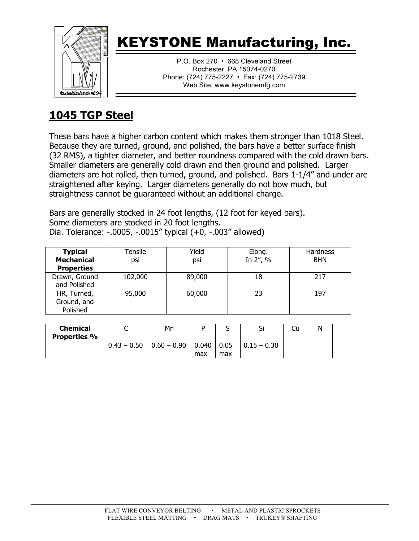

P.O. Box 270 • 668 Cleveland Street Rochester, PA 15074-0270 Phone: (724) 775-2227 • Fax: (724) 775-2739 Web Site: www.keystonemfg.com

### **1045 TGP Steel**

These bars have a higher carbon content which makes them stronger than 1018 Steel. Because they are turned, ground, and polished, the bars have a better surface finish (32 RMS), a tighter diameter, and better roundness compared with the cold drawn bars. Smaller diameters are generally cold drawn and then ground and polished. Larger diameters are hot rolled, then turned, ground, and polished. Bars 1-1/4" and under are straightened after keying. Larger diameters generally do not bow much, but straightness cannot be guaranteed without an additional charge.

Bars are generally stocked in 24 foot lengths, (12 foot for keyed bars). Some diameters are stocked in 20 foot lengths. Dia. Tolerance: -.0005, -.0015" typical (+0, -.003" allowed)

| <b>Typical</b><br><b>Mechanical</b><br><b>Properties</b> | Tensile<br>psi | Yield<br>psi | Elong.<br>In 2", % | Hardness<br><b>BHN</b> |
|----------------------------------------------------------|----------------|--------------|--------------------|------------------------|
| Drawn, Ground<br>and Polished                            | 102,000        | 89,000       | 18                 | 217                    |
| HR, Turned,<br>Ground, and<br>Polished                   | 95,000         | 60,000       | 23                 | 197                    |

| <b>Chemical</b><br><b>Properties %</b> | ∽             | Mn                              |     |      | וכ                | Cu | Ν |
|----------------------------------------|---------------|---------------------------------|-----|------|-------------------|----|---|
|                                        | $0.43 - 0.50$ | $\vert 0.60 - 0.90 \vert 0.040$ |     | 0.05 | $  0.15 - 0.30  $ |    |   |
|                                        |               |                                 | max | max  |                   |    |   |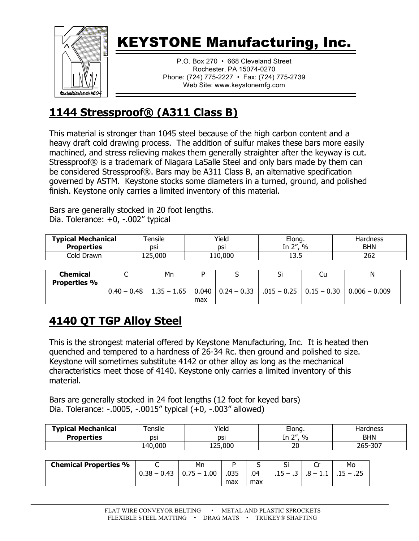

P.O. Box 270 • 668 Cleveland Street Rochester, PA 15074-0270 Phone: (724) 775-2227 • Fax: (724) 775-2739 Web Site: www.keystonemfg.com

#### **1144 Stressproof® (A311 Class B)**

This material is stronger than 1045 steel because of the high carbon content and a heavy draft cold drawing process. The addition of sulfur makes these bars more easily machined, and stress relieving makes them generally straighter after the keyway is cut. Stressproof® is a trademark of Niagara LaSalle Steel and only bars made by them can be considered Stressproof®. Bars may be A311 Class B, an alternative specification governed by ASTM. Keystone stocks some diameters in a turned, ground, and polished finish. Keystone only carries a limited inventory of this material.

Bars are generally stocked in 20 foot lengths. Dia. Tolerance: +0, -.002" typical

| <b>Typical Mechanical</b> | <sup>-</sup> ensile          | Yield   | Elong.             | Hardness   |
|---------------------------|------------------------------|---------|--------------------|------------|
| <b>Properties</b>         | dsi                          | DSI     | - 74<br>$\%$<br>In | <b>BHN</b> |
| Cold Drawn                | $^{\circ}$ 25,000 $^{\circ}$ | '10,000 | ں وی               | 262        |

| Chemical<br><b>Properties %</b> |               | Mn                                  |     | וכ                                          | Cu | N               |
|---------------------------------|---------------|-------------------------------------|-----|---------------------------------------------|----|-----------------|
|                                 | $0.40 - 0.48$ | $1.35 - 1.65$   0.040   0.24 - 0.33 | max | $\vert .015 - 0.25 \vert 0.15 - 0.30 \vert$ |    | $0.006 - 0.009$ |

#### **4140 QT TGP Alloy Steel**

This is the strongest material offered by Keystone Manufacturing, Inc. It is heated then quenched and tempered to a hardness of 26-34 Rc. then ground and polished to size. Keystone will sometimes substitute 4142 or other alloy as long as the mechanical characteristics meet those of 4140. Keystone only carries a limited inventory of this material.

Bars are generally stocked in 24 foot lengths (12 foot for keyed bars) Dia. Tolerance: -.0005, -.0015" typical (+0, -.003" allowed)

| <b>Typical Mechanical</b><br><b>Properties</b> | ensile:<br>DSI | Yield<br>DSI      | Elong.<br>$\gamma$<br>$\%$<br>. | Hardness<br><b>BHN</b> |
|------------------------------------------------|----------------|-------------------|---------------------------------|------------------------|
|                                                | 40,000         | $^{\circ}$ 25,000 | חר<br>∠∪                        | 265-307                |

| <b>Chemical Properties %</b> |                  | Mn                     |      | ۰   | ັ        |              | Mo                                   |
|------------------------------|------------------|------------------------|------|-----|----------|--------------|--------------------------------------|
|                              | $0.38 -$<br>0.43 | 1.00<br>- 0<br><b></b> | .035 | .04 | -<br>. . | -<br>۰.<br>. | .25<br>$\overline{\phantom{0}}$<br>. |
|                              |                  |                        | max  | max |          |              |                                      |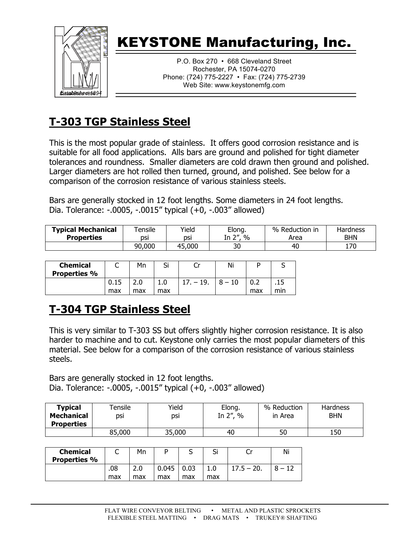

P.O. Box 270 • 668 Cleveland Street Rochester, PA 15074-0270 Phone: (724) 775-2227 • Fax: (724) 775-2739 Web Site: www.keystonemfg.com

### **T-303 TGP Stainless Steel**

This is the most popular grade of stainless. It offers good corrosion resistance and is suitable for all food applications. Alls bars are ground and polished for tight diameter tolerances and roundness. Smaller diameters are cold drawn then ground and polished. Larger diameters are hot rolled then turned, ground, and polished. See below for a comparison of the corrosion resistance of various stainless steels.

Bars are generally stocked in 12 foot lengths. Some diameters in 24 foot lengths. Dia. Tolerance: -.0005, -.0015" typical (+0, -.003" allowed)

| <b>Typical Mechanical</b><br><b>Properties</b> | Tensile<br>DSI | Yield<br>DSİ | Elong.<br>יי ה<br>$\%$<br>In<br>└ | %<br>Reduction in<br>Area | <b>Hardness</b><br><b>BHN</b> |
|------------------------------------------------|----------------|--------------|-----------------------------------|---------------------------|-------------------------------|
|                                                | 90,000         | 45,000       | 30                                | 40                        | 170                           |

| <b>Chemical</b><br><b>Properties %</b> | ֊           | Mn  | Si         | ◡           | Ni |            | ັ   |
|----------------------------------------|-------------|-----|------------|-------------|----|------------|-----|
|                                        | 0.15<br>max | max | 1.0<br>max | $\cdot$ 19. |    | v.z<br>max | min |

#### **T-304 TGP Stainless Steel**

This is very similar to T-303 SS but offers slightly higher corrosion resistance. It is also harder to machine and to cut. Keystone only carries the most popular diameters of this material. See below for a comparison of the corrosion resistance of various stainless steels.

Bars are generally stocked in 12 foot lengths. Dia. Tolerance: -.0005, -.0015" typical (+0, -.003" allowed)

| <b>Typical</b><br>Mechanical<br><b>Properties</b> | Tensile<br>DSİ | Yield<br>dsi | Elong.<br>In 2",<br>$\%$ | % Reduction<br>in Area | Hardness<br><b>BHN</b> |
|---------------------------------------------------|----------------|--------------|--------------------------|------------------------|------------------------|
|                                                   | 85,000         | 35,000       | 40                       | 50                     | 150                    |

| <b>Chemical</b><br><b>Properties %</b> | ◡   | Mn  | D     | ب    | <b>.</b><br>וכ | ີ            | Ni |
|----------------------------------------|-----|-----|-------|------|----------------|--------------|----|
|                                        | .08 | z.u | 0.045 | 0.03 |                | $17.5 - 20.$ |    |
|                                        | max | max | max   | max  | max            |              |    |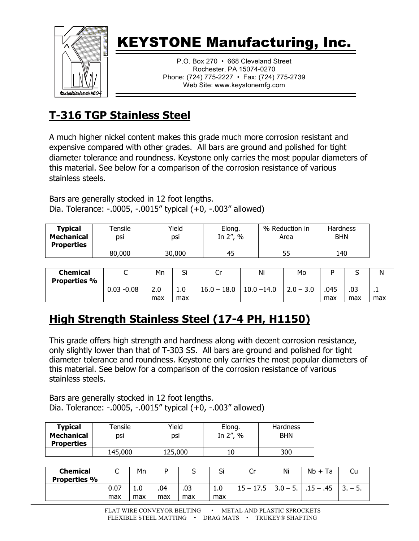

P.O. Box 270 • 668 Cleveland Street Rochester, PA 15074-0270 Phone: (724) 775-2227 • Fax: (724) 775-2739 Web Site: www.keystonemfg.com

### **T-316 TGP Stainless Steel**

A much higher nickel content makes this grade much more corrosion resistant and expensive compared with other grades. All bars are ground and polished for tight diameter tolerance and roundness. Keystone only carries the most popular diameters of this material. See below for a comparison of the corrosion resistance of various stainless steels.

Bars are generally stocked in 12 foot lengths. Dia. Tolerance: -.0005, -.0015" typical (+0, -.003" allowed)

| <b>Typical</b>    | $\tau$ ensile | Yield  | Elong.       | % Reduction in | Hardness   |
|-------------------|---------------|--------|--------------|----------------|------------|
| <b>Mechanical</b> | DSİ           | dsi    | In $2''$ , % | Area           | <b>BHN</b> |
| <b>Properties</b> |               |        |              |                |            |
|                   | 80,000        | 30,000 | 45           | 55             | 140        |

| <b>Chemical</b><br><b>Properties %</b> | ๛             | Mn         | <b>-</b><br>ы | ັ             | Ni            | Mo          |             | ◡          | N           |
|----------------------------------------|---------------|------------|---------------|---------------|---------------|-------------|-------------|------------|-------------|
|                                        | $0.03 - 0.08$ | 2.0<br>max | 1.0<br>max    | $16.0 - 18.0$ | $10.0 - 14.0$ | $2.0 - 3.0$ | .045<br>max | .03<br>max | - 11<br>max |

### **High Strength Stainless Steel (17-4 PH, H1150)**

This grade offers high strength and hardness along with decent corrosion resistance, only slightly lower than that of T-303 SS. All bars are ground and polished for tight diameter tolerance and roundness. Keystone only carries the most popular diameters of this material. See below for a comparison of the corrosion resistance of various stainless steels.

Bars are generally stocked in 12 foot lengths. Dia. Tolerance: -.0005, -.0015" typical (+0, -.003" allowed)

| <b>Typical</b><br><b>Mechanical</b><br><b>Properties</b> | $\tau$ ensile<br>DSİ | Yield<br>dsi | Elong.<br>In $2''$ , % | <b>Hardness</b><br><b>BHN</b> |
|----------------------------------------------------------|----------------------|--------------|------------------------|-------------------------------|
|                                                          | 145,000              | 125,000      |                        | 300                           |

| <b>Chemical</b><br><b>Properties %</b> | ◡           | Mn         | D          |            | ~<br>וכ    | ົ.<br>ີ     | Ni         | $Nb + Ta$   | Cu    |
|----------------------------------------|-------------|------------|------------|------------|------------|-------------|------------|-------------|-------|
|                                        | 0.07<br>max | 1.0<br>max | .04<br>max | .03<br>max | 1.0<br>max | $15 - 17.5$ | $3.0 - 5.$ | $.15 - .45$ | $-5.$ |